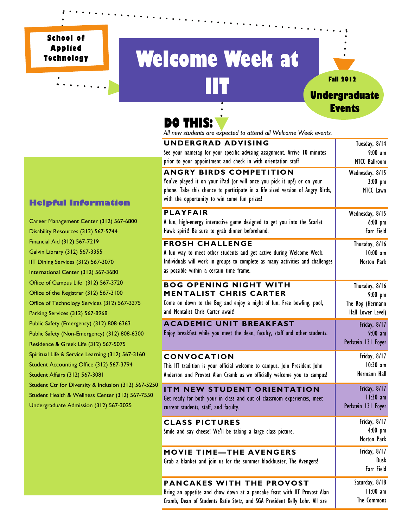**School of Applied Technology** 

# **Welcome Week at IIT Fall 2012**<br> **Undergraduate**



## **DO THIS:**

**UNDERGRAD ADVISING**  See your nametag for your specific advising assignment. Arrive 10 minutes prior to your appointment and check in with orientation staff Tuesday, 8/14 9:00 am MTCC Ballroom **ANGRY BIRDS COMPETITION**  You've played it on your iPad (or will once you pick it up!) or on your phone. Take this chance to participate in a life sized version of Angry Birds, with the opportunity to win some fun prizes! Wednesday, 8/15 3:00 pm MTCC Lawn **PLAYFAIR**  A fun, high-energy interactive game designed to get you into the Scarlet Hawk spirit! Be sure to grab dinner beforehand. Wednesday, 8/15 6:00 pm Farr Field **FROSH CHALLENGE**  A fun way to meet other students and get active during Welcome Week. Individuals will work in groups to complete as many activities and challenges as possible within a certain time frame. Thursday, 8/16 10:00 am Morton Park **BOG OPENING NIGHT WITH MENTALIST CHRIS CARTER**  Come on down to the Bog and enjoy a night of fun. Free bowling, pool, and Mentalist Chris Carter await! Thursday, 8/16 9:00 pm The Bog (Hermann Hall Lower Level) **ACADEMIC UNIT BREAKFAST**  Enjoy breakfast while you meet the dean, faculty, staff and other students. Friday, 8/17 9:00 am Perlstein 131 Foyer **CONVOCATION**  This IIT tradition is your official welcome to campus. Join President John Anderson and Provost Alan Cramb as we officially welcome you to campus! Friday, 8/17 10:30 am Hermann Hall **CLASS PICTURES**  Smile and say cheese! We'll be taking a large class picture. Friday, 8/17 4:00 pm Morton Park **MOVIE TIME—THE AVENGERS**  Grab a blanket and join us for the summer blockbuster, The Avengers! Friday, 8/17 Dusk Farr Field **PANCAKES WITH THE PROVOST ITM NEW STUDENT ORIENTATION**  Get ready for both your in class and out of classroom experiences, meet current students, staff, and faculty. Friday, 8/17 11:30 am Perlstein 131 Foyer *All new students are expected to attend all Welcome Week events.* 

#### **Helpful Information**

Career Management Center (312) 567-6800 Disability Resources (312) 567-5744 Financial Aid (312) 567-7219 Galvin Library (312) 567-3355 IIT Dining Services (312) 567-3070 International Center (312) 567-3680 Office of Campus Life (312) 567-3720 Office of the Registrar (312) 567-3100 Office of Technology Services (312) 567-3375 Parking Services (312) 567-8968 Public Safety (Emergency) (312) 808-6363 Public Safety (Non-Emergency) (312) 808-6300 Residence & Greek Life (312) 567-5075 Spiritual Life & Service Learning (312) 567-3160 Student Accounting Office (312) 567-3794 Student Affairs (312) 567-3081 Student Ctr for Diversity & Inclusion (312) 567-5250 Student Health & Wellness Center (312) 567-7550 Undergraduate Admission (312) 567-3025

## Bring an appetite and chow down at a pancake feast with IIT Provost Alan Cramb, Dean of Students Katie Stetz, and SGA President Kelly Lohr. All are

Saturday, 8/18 11:00 am The Commons